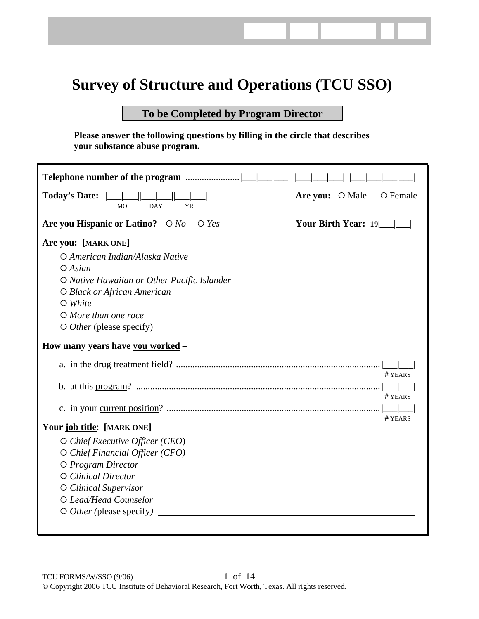# **Survey of Structure and Operations (TCU SSO)**

# **To be Completed by Program Director**

**Please answer the following questions by filling in the circle that describes your substance abuse program.** 

| <b>Today's Date:</b><br><b>DAY</b><br><b>MO</b><br><b>YR</b> | Are you: O Male<br>O Female |
|--------------------------------------------------------------|-----------------------------|
| Are you Hispanic or Latino? $\bigcirc$ No $\bigcirc$ Yes     | Your Birth Year: 19         |
| Are you: [MARK ONE]                                          |                             |
| O American Indian/Alaska Native                              |                             |
| $O$ Asian                                                    |                             |
| O Native Hawaiian or Other Pacific Islander                  |                             |
| O Black or African American                                  |                             |
| $\bigcirc$ White                                             |                             |
| O More than one race                                         |                             |
|                                                              |                             |
| How many years have you worked -                             |                             |
|                                                              | # YEARS                     |
|                                                              |                             |
|                                                              | # YEARS                     |
|                                                              |                             |
| Your job title: [MARK ONE]                                   | # YEARS                     |
| O Chief Executive Officer (CEO)                              |                             |
| O Chief Financial Officer (CFO)                              |                             |
| O Program Director                                           |                             |
| O Clinical Director                                          |                             |
| O Clinical Supervisor                                        |                             |
| O Lead/Head Counselor                                        |                             |
| $\circ$ <i>Other</i> (please specify)                        |                             |
|                                                              |                             |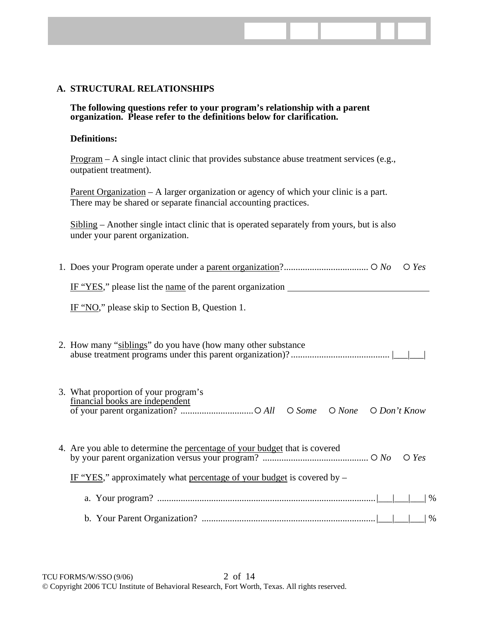# **A. STRUCTURAL RELATIONSHIPS**

**The following questions refer to your program's relationship with a parent organization. Please refer to the definitions below for clarification.** 

#### **Definitions:**

Program – A single intact clinic that provides substance abuse treatment services (e.g., outpatient treatment).

Parent Organization – A larger organization or agency of which your clinic is a part. There may be shared or separate financial accounting practices.

Sibling – Another single intact clinic that is operated separately from yours, but is also under your parent organization.

| $\bigcirc$ Yes                                                                               |
|----------------------------------------------------------------------------------------------|
|                                                                                              |
| IF "NO," please skip to Section B, Question 1.                                               |
| 2. How many "siblings" do you have (how many other substance                                 |
| 3. What proportion of your program's<br>financial books are independent                      |
| 4. Are you able to determine the percentage of your budget that is covered<br>$\bigcirc$ Yes |
| IF "YES," approximately what percentage of your budget is covered by $-$                     |
| $\%$                                                                                         |
| $\%$                                                                                         |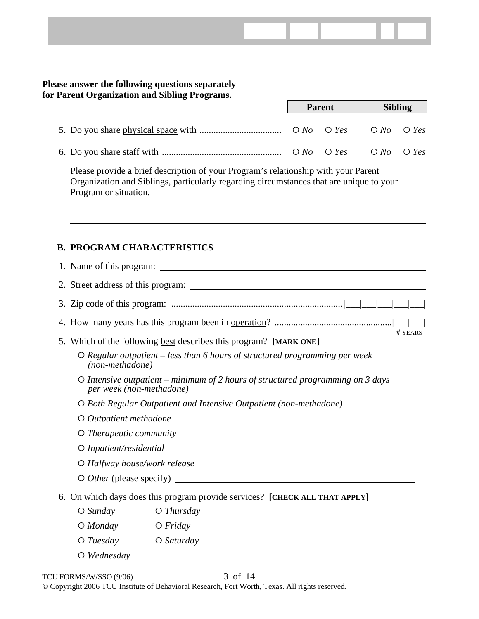# **Please answer the following questions separately for Parent Organization and Sibling Programs.**

|                                                                                                                                                                                                                                                                                                                                | <b>Parent</b> |  | <b>Sibling</b> |  |  |
|--------------------------------------------------------------------------------------------------------------------------------------------------------------------------------------------------------------------------------------------------------------------------------------------------------------------------------|---------------|--|----------------|--|--|
|                                                                                                                                                                                                                                                                                                                                |               |  |                |  |  |
| 6. Do you share staff with $\ldots$ $\ldots$ $\ldots$ $\ldots$ $\ldots$ $\ldots$ $\ldots$ $\ldots$ $\ldots$ $\ldots$ $\ldots$ $\ldots$ $\ldots$ $\ldots$ $\ldots$ $\ldots$ $\ldots$ $\ldots$ $\ldots$ $\ldots$ $\ldots$ $\ldots$ $\ldots$ $\ldots$ $\ldots$ $\ldots$ $\ldots$ $\ldots$ $\ldots$ $\ldots$ $\ldots$ $\ldots$ $\$ |               |  |                |  |  |

Please provide a brief description of your Program's relationship with your Parent Organization and Siblings, particularly regarding circumstances that are unique to your Program or situation.

# **B. PROGRAM CHARACTERISTICS**

| # YEARS<br>5. Which of the following best describes this program? [MARK ONE]                                |
|-------------------------------------------------------------------------------------------------------------|
| $\circ$ Regular outpatient – less than 6 hours of structured programming per week<br>(non-methadone)        |
| O Intensive outpatient – minimum of 2 hours of structured programming on 3 days<br>per week (non-methadone) |
| O Both Regular Outpatient and Intensive Outpatient (non-methadone)                                          |
| $O$ <i>Outpatient methadone</i>                                                                             |
| $\circ$ Therapeutic community                                                                               |
| O Inpatient/residential                                                                                     |
| O Halfway house/work release                                                                                |
|                                                                                                             |
| 6. On which days does this program provide services? [CHECK ALL THAT APPLY]                                 |
| $O$ Thursday<br>$\bigcirc$ Sunday                                                                           |
| $O$ <i>Monday</i><br>$O$ <i>Friday</i>                                                                      |
| $O$ Tuesday<br>$O$ Saturday                                                                                 |

{ *Wednesday*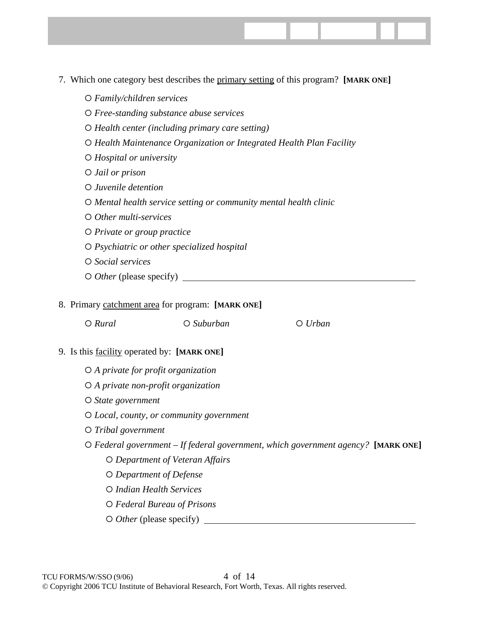- 7. Which one category best describes the primary setting of this program? **[MARK ONE]**
	- { *Family/children services*  { *Free-standing substance abuse services*  { *Health center (including primary care setting)*  { *Health Maintenance Organization or Integrated Health Plan Facility*  { *Hospital or university*  { *Jail or prison*  { *Juvenile detention*  { *Mental health service setting or community mental health clinic*  { *Other multi-services*  { *Private or group practice*  { *Psychiatric or other specialized hospital*  { *Social services*
	- { *Other* (please specify)

### 8. Primary catchment area for program: **[MARK ONE]**

#### 9. Is this facility operated by: **[MARK ONE]**

- { *A private for profit organization*
- { *A private non-profit organization*
- { *State government*
- { *Local, county, or community government*
- { *Tribal government*
- { *Federal government If federal government, which government agency?* **[MARK ONE]**
	- { *Department of Veteran Affairs*
	- { *Department of Defense*
	- { *Indian Health Services*
	- { *Federal Bureau of Prisons*
	- { *Other* (please specify)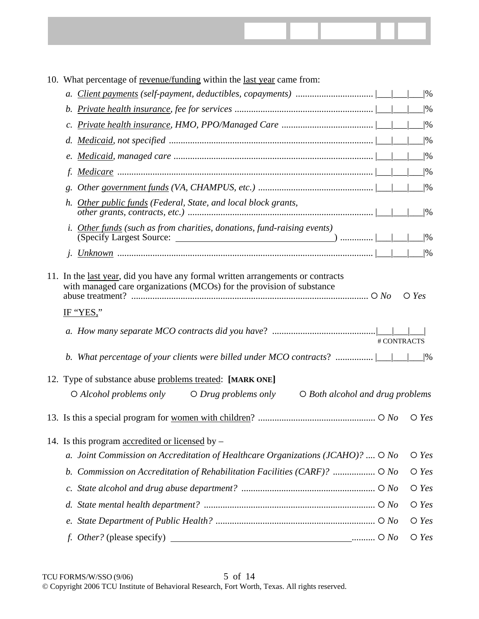

| 10. What percentage of revenue/funding within the last year came from:                                      |                      |
|-------------------------------------------------------------------------------------------------------------|----------------------|
|                                                                                                             | %                    |
|                                                                                                             | $\frac{9}{6}$        |
|                                                                                                             | %                    |
| d.                                                                                                          | %                    |
|                                                                                                             | $\frac{9}{6}$        |
|                                                                                                             | $\frac{9}{6}$        |
| g.                                                                                                          | %                    |
| h. Other public funds (Federal, State, and local block grants,                                              | $\frac{9}{6}$        |
| Other funds (such as from charities, donations, fund-raising events)                                        | 0/6                  |
|                                                                                                             | %                    |
| IF "YES,"<br># CONTRACTS<br>b. What percentage of your clients were billed under MCO contracts?  __ __      | $\bigcirc$ Yes<br> % |
| 12. Type of substance abuse problems treated: [MARK ONE]                                                    |                      |
| $\bigcirc$ Alcohol problems only $\bigcirc$ Drug problems only<br>$\bigcirc$ Both alcohol and drug problems |                      |
|                                                                                                             | $\bigcirc$ Yes       |
| 14. Is this program accredited or licensed by $-$                                                           |                      |
| a. Joint Commission on Accreditation of Healthcare Organizations (JCAHO)? $\bigcirc$ No                     | $\bigcirc$ Yes       |
| Commission on Accreditation of Rehabilitation Facilities (CARF)?  O No<br>b.                                | $\bigcirc$ Yes       |
| $c$ .                                                                                                       | $\bigcirc$ Yes       |
| d.                                                                                                          | $\bigcirc$ Yes       |
|                                                                                                             | $\bigcirc$ Yes       |
| <i>f. Other?</i> (please specify)                                                                           | $\bigcirc$ Yes       |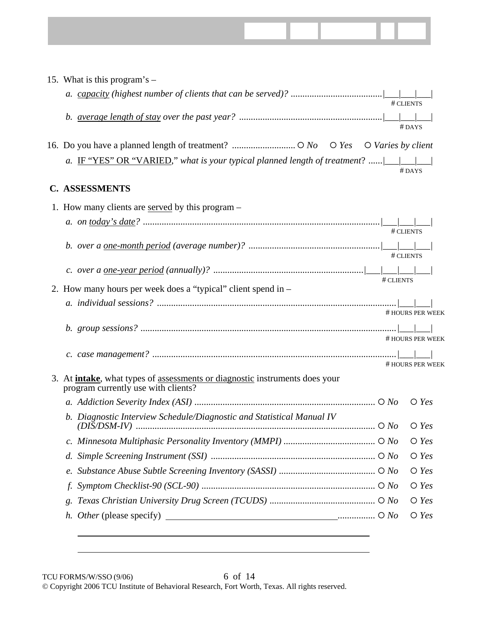| 15. What is this program's $-$                                                                                                    |           |                  |  |
|-----------------------------------------------------------------------------------------------------------------------------------|-----------|------------------|--|
|                                                                                                                                   |           |                  |  |
|                                                                                                                                   |           | # CLIENTS        |  |
|                                                                                                                                   |           |                  |  |
|                                                                                                                                   |           | #DAYS            |  |
|                                                                                                                                   |           |                  |  |
| a. IF "YES" OR "VARIED," what is your typical planned length of treatment? $\Box$                                                 |           |                  |  |
|                                                                                                                                   |           | $#$ DAYS         |  |
| <b>C. ASSESSMENTS</b>                                                                                                             |           |                  |  |
| 1. How many clients are <u>served</u> by this program –                                                                           |           |                  |  |
|                                                                                                                                   |           |                  |  |
|                                                                                                                                   |           | # CLIENTS        |  |
|                                                                                                                                   |           |                  |  |
|                                                                                                                                   |           | # CLIENTS        |  |
|                                                                                                                                   | # CLIENTS |                  |  |
| 2. How many hours per week does a "typical" client spend in –                                                                     |           |                  |  |
|                                                                                                                                   |           |                  |  |
|                                                                                                                                   |           | # HOURS PER WEEK |  |
|                                                                                                                                   |           | # HOURS PER WEEK |  |
|                                                                                                                                   |           |                  |  |
|                                                                                                                                   |           | # HOURS PER WEEK |  |
| 3. At <i>intake</i> , what types of <i>assessments or diagnostic</i> instruments does your<br>program currently use with clients? |           |                  |  |
|                                                                                                                                   |           |                  |  |
| b. Diagnostic Interview Schedule/Diagnostic and Statistical Manual IV                                                             |           |                  |  |
|                                                                                                                                   |           | $\bigcirc$ Yes   |  |
|                                                                                                                                   |           | $\bigcirc$ Yes   |  |
| d.                                                                                                                                |           | $\bigcirc$ Yes   |  |
| e.                                                                                                                                |           | $\bigcirc$ Yes   |  |
|                                                                                                                                   |           | $\bigcirc$ Yes   |  |
| g.                                                                                                                                |           | $\bigcirc$ Yes   |  |
| h. Other (please specify) $\qquad \qquad$ $\qquad \qquad$ 0 No                                                                    |           | $\bigcirc$ Yes   |  |
|                                                                                                                                   |           |                  |  |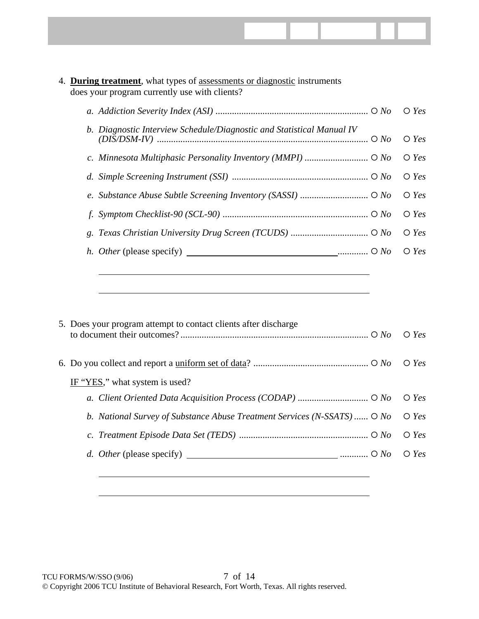

# 4. **During treatment**, what types of assessments or diagnostic instruments does your program currently use with clients?

|                                                                       | $\bigcirc$ Yes |
|-----------------------------------------------------------------------|----------------|
| b. Diagnostic Interview Schedule/Diagnostic and Statistical Manual IV | $\bigcirc$ Yes |
|                                                                       | $\bigcirc$ Yes |
|                                                                       | $\bigcirc$ Yes |
|                                                                       |                |
|                                                                       | $\bigcirc$ Yes |
|                                                                       | $\bigcirc$ Yes |
| <i>h. Other</i> (please specify) $\qquad \qquad$                      | $\bigcirc$ Yes |
|                                                                       |                |

| 5. Does your program attempt to contact clients after discharge          | $\bigcirc$ Yes |
|--------------------------------------------------------------------------|----------------|
|                                                                          | $\bigcirc$ Yes |
| IF "YES," what system is used?                                           |                |
|                                                                          | $\bigcirc$ Yes |
| b. National Survey of Substance Abuse Treatment Services (N-SSATS)  O No | $\bigcirc$ Yes |
|                                                                          | $\bigcirc$ Yes |
|                                                                          |                |
|                                                                          |                |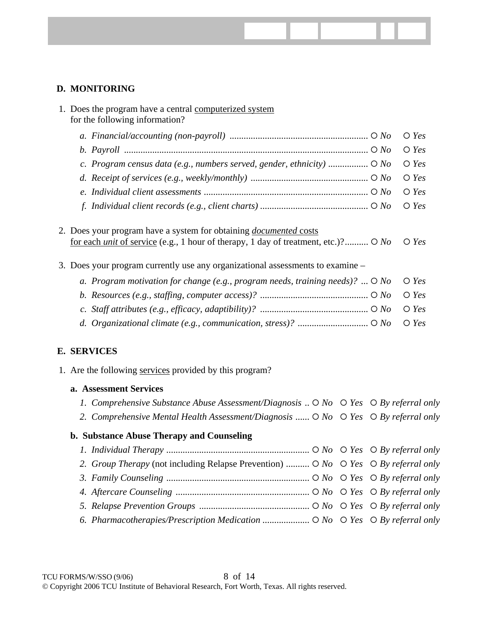# **D. MONITORING**

| 1. Does the program have a central computerized system<br>for the following information?                                                                                                                                                                      |                |
|---------------------------------------------------------------------------------------------------------------------------------------------------------------------------------------------------------------------------------------------------------------|----------------|
|                                                                                                                                                                                                                                                               | $\bigcirc$ Yes |
|                                                                                                                                                                                                                                                               | $\bigcirc$ Yes |
| c. Program census data (e.g., numbers served, gender, ethnicity) $\circ$ No                                                                                                                                                                                   | $\bigcirc$ Yes |
|                                                                                                                                                                                                                                                               | $\bigcirc$ Yes |
|                                                                                                                                                                                                                                                               | $\bigcirc$ Yes |
|                                                                                                                                                                                                                                                               | $\bigcirc$ Yes |
|                                                                                                                                                                                                                                                               |                |
| 2. Does your program have a system for obtaining <i>documented</i> costs<br>for each <i>unit</i> of service (e.g., 1 hour of therapy, 1 day of treatment, etc.)? $\circ$ No<br>3. Does your program currently use any organizational assessments to examine - | $\bigcirc$ Yes |
| a. Program motivation for change (e.g., program needs, training needs)? $\bigcirc$ No                                                                                                                                                                         | $\bigcirc$ Yes |
|                                                                                                                                                                                                                                                               | $\bigcirc$ Yes |
|                                                                                                                                                                                                                                                               | $\bigcirc$ Yes |

# **E. SERVICES**

1. Are the following services provided by this program?

### **a. Assessment Services**

- *1. Comprehensive Substance Abuse Assessment/Diagnosis ..*  $O$  *No*  $O$  *Yes*  $O$  *By referral only*
- 2. Comprehensive Mental Health Assessment/Diagnosis ......  $\circ$  *No*  $\circ$  *Yes*  $\circ$  *By referral only*

## **b. Substance Abuse Therapy and Counseling**

 *1. Individual Therapy .............................................................* { *No* { *Yes* { *By referral only 2. Group Therapy* (not including Relapse Prevention) *..........* { *No* { *Yes* { *By referral only 3. Family Counseling .............................................................* { *No* { *Yes* { *By referral only 4. Aftercare Counseling .........................................................* { *No* { *Yes* { *By referral only 5. Relapse Prevention Groups ...............................................* { *No* { *Yes* { *By referral only 6. Pharmacotherapies/Prescription Medication ....................* { *No* { *Yes* { *By referral only*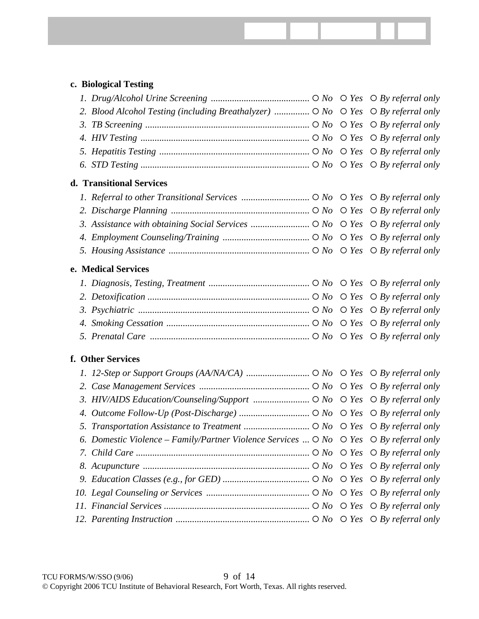| c. Biological Testing                                                                                                                                                                                                                                                                                                              |  |  |
|------------------------------------------------------------------------------------------------------------------------------------------------------------------------------------------------------------------------------------------------------------------------------------------------------------------------------------|--|--|
|                                                                                                                                                                                                                                                                                                                                    |  |  |
| 2. Blood Alcohol Testing (including Breathalyzer) $\circ$ No $\circ$ Yes $\circ$ By referral only                                                                                                                                                                                                                                  |  |  |
|                                                                                                                                                                                                                                                                                                                                    |  |  |
| 4. HIV Testing $\ldots$ $\ldots$ $\ldots$ $\ldots$ $\ldots$ $\ldots$ $\ldots$ $\ldots$ $\ldots$ $\ldots$ $\ldots$ $\ldots$ $\ldots$ $\ldots$ $\ldots$ $\ldots$ $\ldots$ $\ldots$ $\ldots$ $\ldots$ $\ldots$ $\ldots$ $\ldots$ $\ldots$ $\ldots$ $\ldots$ $\ldots$ $\ldots$ $\ldots$ $\ldots$ $\ldots$                              |  |  |
|                                                                                                                                                                                                                                                                                                                                    |  |  |
|                                                                                                                                                                                                                                                                                                                                    |  |  |
| d. Transitional Services                                                                                                                                                                                                                                                                                                           |  |  |
|                                                                                                                                                                                                                                                                                                                                    |  |  |
|                                                                                                                                                                                                                                                                                                                                    |  |  |
|                                                                                                                                                                                                                                                                                                                                    |  |  |
|                                                                                                                                                                                                                                                                                                                                    |  |  |
|                                                                                                                                                                                                                                                                                                                                    |  |  |
| e. Medical Services                                                                                                                                                                                                                                                                                                                |  |  |
|                                                                                                                                                                                                                                                                                                                                    |  |  |
|                                                                                                                                                                                                                                                                                                                                    |  |  |
| 3. Psychiatric $\ldots$ $\ldots$ $\ldots$ $\ldots$ $\ldots$ $\ldots$ $\ldots$ $\ldots$ $\ldots$ $\ldots$ $\ldots$ $\ldots$ $\ldots$ $\ldots$ $\ldots$ $\ldots$ $\ldots$ $\ldots$ $\ldots$ $\ldots$ $\ldots$ $\ldots$ $\ldots$ $\ldots$ $\ldots$ $\ldots$ $\ldots$ $\ldots$ $\ldots$ $\ldots$ $\ldots$ $\ldots$ $\ldots$            |  |  |
|                                                                                                                                                                                                                                                                                                                                    |  |  |
| 5. Prenatal Care $\ldots$ $\ldots$ $\ldots$ $\ldots$ $\ldots$ $\ldots$ $\ldots$ $\ldots$ $\ldots$ $\ldots$ $\ldots$ $\ldots$ $\ldots$ $\ldots$ $\ldots$ $\ldots$ $\ldots$ $\ldots$ $\ldots$ $\ldots$ $\ldots$ $\ldots$ $\ldots$ $\ldots$ $\ldots$ $\ldots$ $\ldots$ $\ldots$ $\ldots$ $\ldots$ $\ldots$ $\ldots$ $\ldots$ $\ldots$ |  |  |
| f. Other Services                                                                                                                                                                                                                                                                                                                  |  |  |
|                                                                                                                                                                                                                                                                                                                                    |  |  |
|                                                                                                                                                                                                                                                                                                                                    |  |  |
| 3. HIV/AIDS Education/Counseling/Support  O No O Yes O By referral only                                                                                                                                                                                                                                                            |  |  |
|                                                                                                                                                                                                                                                                                                                                    |  |  |
|                                                                                                                                                                                                                                                                                                                                    |  |  |
| 6. Domestic Violence – Family/Partner Violence Services $\bigcirc$ No $\bigcirc$ Yes $\bigcirc$ By referral only                                                                                                                                                                                                                   |  |  |
|                                                                                                                                                                                                                                                                                                                                    |  |  |
| 8. Acupuncture $\ldots$ $\ldots$ $\ldots$ $\ldots$ $\ldots$ $\ldots$ $\ldots$ $\ldots$ $\ldots$ $\ldots$ $\ldots$ $\ldots$ $\ldots$ $\ldots$ $\ldots$ $\ldots$ $\ldots$ $\ldots$ $\ldots$ $\ldots$ $\ldots$ $\ldots$ $\ldots$ $\ldots$ $\ldots$ $\ldots$ $\ldots$ $\ldots$ $\ldots$ $\ldots$ $\ldots$ $\ldots$ $\ldots$            |  |  |
|                                                                                                                                                                                                                                                                                                                                    |  |  |
|                                                                                                                                                                                                                                                                                                                                    |  |  |
|                                                                                                                                                                                                                                                                                                                                    |  |  |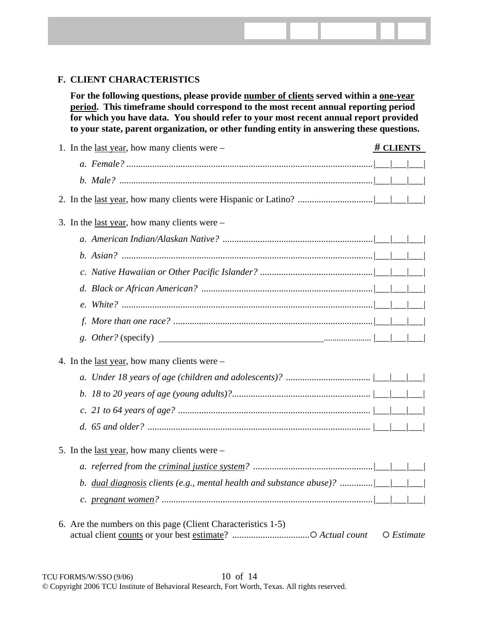# **F. CLIENT CHARACTERISTICS**

**For the following questions, please provide number of clients served within a one-year period. This timeframe should correspond to the most recent annual reporting period for which you have data. You should refer to your most recent annual report provided to your state, parent organization, or other funding entity in answering these questions.** 

| 1. In the <u>last year</u> , how many clients were $-$       | # CLIENTS |                     |  |  |  |
|--------------------------------------------------------------|-----------|---------------------|--|--|--|
|                                                              |           |                     |  |  |  |
|                                                              |           |                     |  |  |  |
|                                                              |           |                     |  |  |  |
| 3. In the <u>last year</u> , how many clients were $-$       |           |                     |  |  |  |
|                                                              |           |                     |  |  |  |
|                                                              |           |                     |  |  |  |
|                                                              |           |                     |  |  |  |
|                                                              |           |                     |  |  |  |
|                                                              |           |                     |  |  |  |
|                                                              |           |                     |  |  |  |
|                                                              |           |                     |  |  |  |
| 4. In the <u>last year</u> , how many clients were $-$       |           |                     |  |  |  |
|                                                              |           |                     |  |  |  |
|                                                              |           |                     |  |  |  |
|                                                              |           |                     |  |  |  |
|                                                              |           |                     |  |  |  |
| 5. In the <u>last year</u> , how many clients were $-$       |           |                     |  |  |  |
|                                                              |           |                     |  |  |  |
|                                                              |           |                     |  |  |  |
|                                                              |           |                     |  |  |  |
| 6. Are the numbers on this page (Client Characteristics 1-5) |           | $O$ <i>Estimate</i> |  |  |  |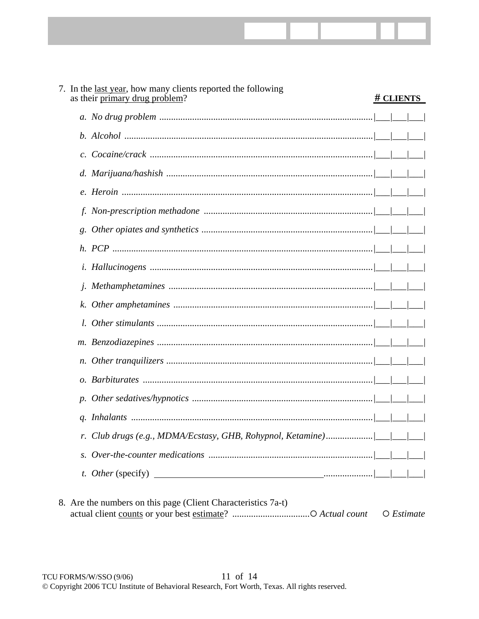| 7. In the <u>last year</u> , how many clients reported the following<br>as their primary drug problem? | # CLIENTS |
|--------------------------------------------------------------------------------------------------------|-----------|
|                                                                                                        |           |
|                                                                                                        |           |
|                                                                                                        |           |
|                                                                                                        |           |
|                                                                                                        |           |
|                                                                                                        |           |
|                                                                                                        |           |
|                                                                                                        |           |
|                                                                                                        |           |
|                                                                                                        |           |
|                                                                                                        |           |
|                                                                                                        |           |
|                                                                                                        |           |
|                                                                                                        |           |
|                                                                                                        |           |
|                                                                                                        |           |
|                                                                                                        |           |
|                                                                                                        |           |
|                                                                                                        |           |
|                                                                                                        |           |

8. Are the numbers on this page (Client Characteristics 7a-t)  $O$  *Estimate*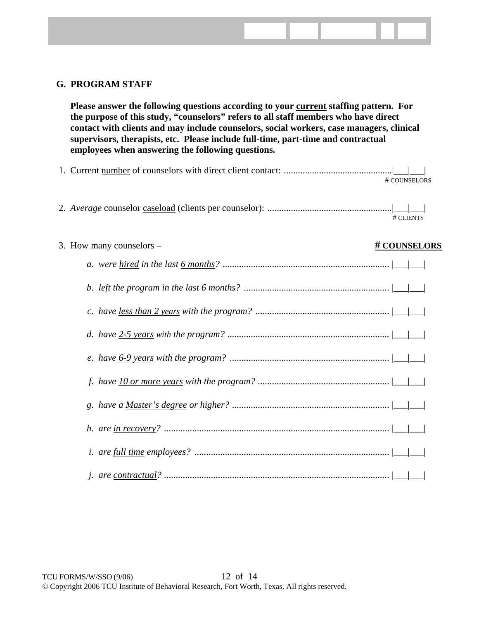## **G. PROGRAM STAFF**

**Please answer the following questions according to your current staffing pattern. For the purpose of this study, "counselors" refers to all staff members who have direct contact with clients and may include counselors, social workers, case managers, clinical supervisors, therapists, etc. Please include full-time, part-time and contractual employees when answering the following questions.** 

- 1. Current number of counselors with direct client contact: ..............................................|\_\_\_|\_\_\_| # COUNSELORS
- 2. *Average* counselor caseload (clients per counselor): .....................................................|\_\_\_|\_\_\_| # CLIENTS
- 3. How many counselors **# COUNSELORS**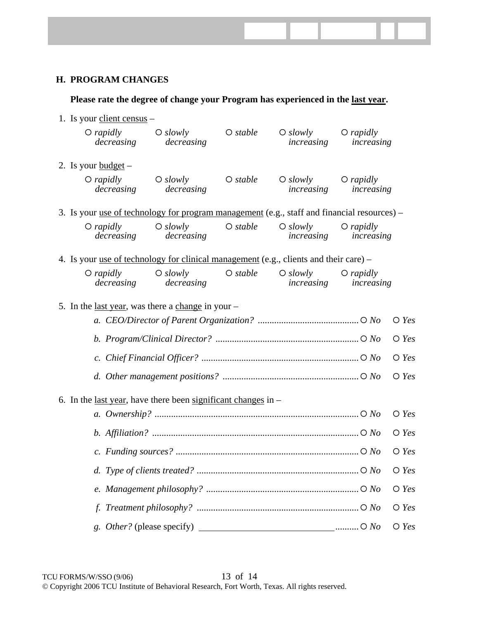# **H. PROGRAM CHANGES**

# 1. Is your client census – { *rapidly* { *slowly* { *stable* { *slowly* { *rapidly decreasing decreasing increasing increasing*  2. Is your <u>budget</u>  $-$ { *rapidly* { *slowly* { *stable* { *slowly* { *rapidly decreasing decreasing increasing increasing*  3. Is your <u>use of technology for program management</u> (e.g., staff and financial resources) – { *rapidly* { *slowly* { *stable* { *slowly* { *rapidly decreasing decreasing increasing increasing*  4. Is your use of technology for clinical management (e.g., clients and their care) – { *rapidly* { *slowly* { *stable* { *slowly* { *rapidly decreasing decreasing increasing increasing*  5. In the last year, was there a change in your – *a. CEO/Director of Parent Organization? ...........................................*{ *No* { *Yes b. Program/Clinical Director? .............................................................*{ *No* { *Yes c. Chief Financial Officer? ...................................................................*{ *No* { *Yes d. Other management positions? ..........................................................*{ *No* { *Yes*  6. In the last year, have there been significant changes in – *a. Ownership? .......................................................................................*{ *No* { *Yes b. Affiliation? ........................................................................................*{ *No* { *Yes c. Funding sources? ..............................................................................*{ *No* { *Yes d. Type of clients treated? .....................................................................*{ *No* { *Yes e. Management philosophy? .................................................................*{ *No* { *Yes f. Treatment philosophy? .....................................................................*{ *No* { *Yes g. Other?* (please specify) *..........*{ *No* { *Yes*

**Please rate the degree of change your Program has experienced in the last year.**